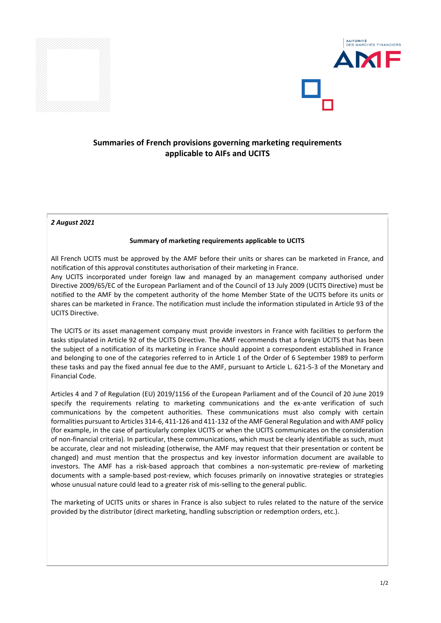



## **Summaries of French provisions governing marketing requirements applicable to AIFs and UCITS**

*2 August 2021*

## **Summary of marketing requirements applicable to UCITS**

All French UCITS must be approved by the AMF before their units or shares can be marketed in France, and notification of this approval constitutes authorisation of their marketing in France.

Any UCITS incorporated under foreign law and managed by an management company authorised under Directive 2009/65/EC of the European Parliament and of the Council of 13 July 2009 (UCITS Directive) must be notified to the AMF by the competent authority of the home Member State of the UCITS before its units or shares can be marketed in France. The notification must include the information stipulated in Article 93 of the UCITS Directive.

The UCITS or its asset management company must provide investors in France with facilities to perform the tasks stipulated in Article 92 of the UCITS Directive. The AMF recommends that a foreign UCITS that has been the subject of a notification of its marketing in France should appoint a correspondent established in France and belonging to one of the categories referred to in Article 1 of the Order of 6 September 1989 to perform these tasks and pay the fixed annual fee due to the AMF, pursuant to Article L. 621-5-3 of the Monetary and Financial Code.

Articles 4 and 7 of Regulation (EU) 2019/1156 of the European Parliament and of the Council of 20 June 2019 specify the requirements relating to marketing communications and the ex-ante verification of such communications by the competent authorities. These communications must also comply with certain formalities pursuant to Articles 314-6, 411-126 and 411-132 of the AMF General Regulation and with AMF policy (for example, in the case of particularly complex UCITS or when the UCITS communicates on the consideration of non-financial criteria). In particular, these communications, which must be clearly identifiable as such, must be accurate, clear and not misleading (otherwise, the AMF may request that their presentation or content be changed) and must mention that the prospectus and key investor information document are available to investors. The AMF has a risk-based approach that combines a non-systematic pre-review of marketing documents with a sample-based post-review, which focuses primarily on innovative strategies or strategies whose unusual nature could lead to a greater risk of mis-selling to the general public.

The marketing of UCITS units or shares in France is also subject to rules related to the nature of the service provided by the distributor (direct marketing, handling subscription or redemption orders, etc.).